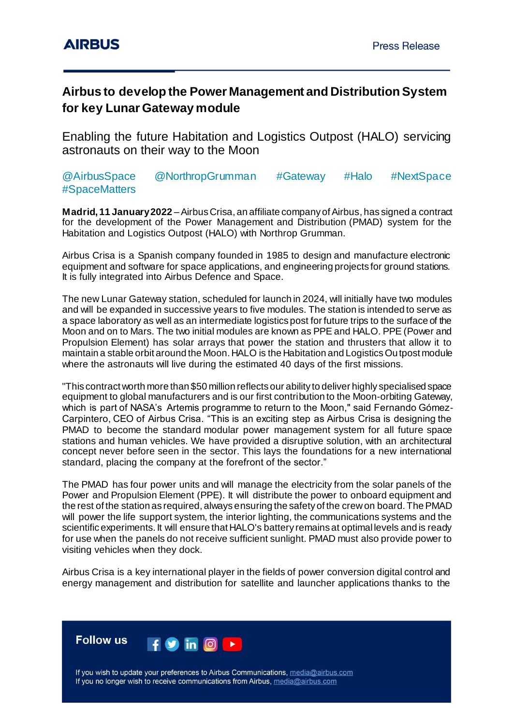## **Airbus to develop the Power Management and Distribution System for key Lunar Gateway module**

Enabling the future Habitation and Logistics Outpost (HALO) servicing astronauts on their way to the Moon

### @AirbusSpace @NorthropGrumman #Gateway #Halo #NextSpace #SpaceMatters

**Madrid, 11 January 2022** –Airbus Crisa, an affiliate company of Airbus, has signed a contract for the development of the Power Management and Distribution (PMAD) system for the Habitation and Logistics Outpost (HALO) with Northrop Grumman.

Airbus Crisa is a Spanish company founded in 1985 to design and manufacture electronic equipment and software for space applications, and engineering projects for ground stations. It is fully integrated into Airbus Defence and Space.

The new Lunar Gateway station, scheduled for launch in 2024, will initially have two modules and will be expanded in successive years to five modules. The station is intended to serve as a space laboratory as well as an intermediate logistics post for future trips to the surface of the Moon and on to Mars. The two initial modules are known as PPE and HALO. PPE (Power and Propulsion Element) has solar arrays that power the station and thrusters that allow it to maintain a stable orbit around the Moon. HALO is the Habitation and Logistics Outpost module where the astronauts will live during the estimated 40 days of the first missions.

"This contract worth more than \$50 million reflects our ability to deliver highly specialised space equipment to global manufacturers and is our first contribution to the Moon-orbiting Gateway, which is part of NASA's Artemis programme to return to the Moon," said Fernando Gómez-Carpintero, CEO of Airbus Crisa. "This is an exciting step as Airbus Crisa is designing the PMAD to become the standard modular power management system for all future space stations and human vehicles. We have provided a disruptive solution, with an architectural concept never before seen in the sector. This lays the foundations for a new international standard, placing the company at the forefront of the sector."

The PMAD has four power units and will manage the electricity from the solar panels of the Power and Propulsion Element (PPE). It will distribute the power to onboard equipment and the rest of the station as required, always ensuring the safety of the crew on board. The PMAD will power the life support system, the interior lighting, the communications systems and the scientific experiments. It will ensure that HALO's battery remains at optimal levels and is ready for use when the panels do not receive sufficient sunlight. PMAD must also provide power to visiting vehicles when they dock.

Airbus Crisa is a key international player in the fields of power conversion digital control and energy management and distribution for satellite and launcher applications thanks to the